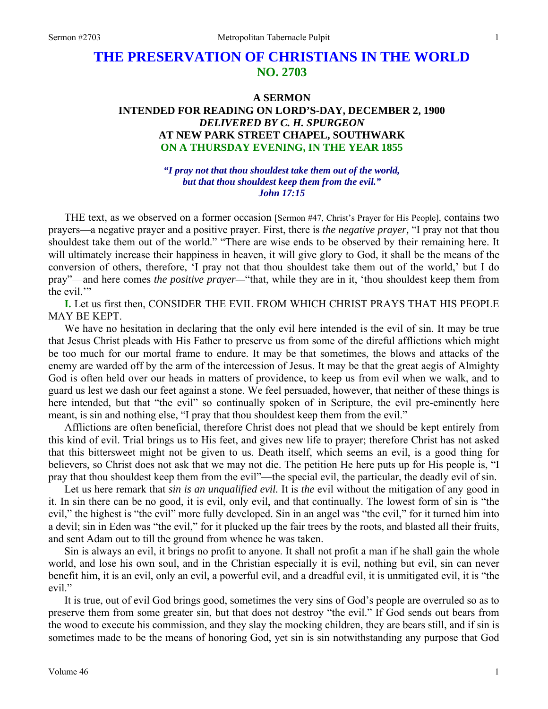# **THE PRESERVATION OF CHRISTIANS IN THE WORLD NO. 2703**

## **A SERMON INTENDED FOR READING ON LORD'S-DAY, DECEMBER 2, 1900**  *DELIVERED BY C. H. SPURGEON*  **AT NEW PARK STREET CHAPEL, SOUTHWARK ON A THURSDAY EVENING, IN THE YEAR 1855**

*"I pray not that thou shouldest take them out of the world, but that thou shouldest keep them from the evil." John 17:15* 

THE text, as we observed on a former occasion [Sermon #47, Christ's Prayer for His People], contains two prayers—a negative prayer and a positive prayer. First, there is *the negative prayer,* "I pray not that thou shouldest take them out of the world." "There are wise ends to be observed by their remaining here. It will ultimately increase their happiness in heaven, it will give glory to God, it shall be the means of the conversion of others, therefore, 'I pray not that thou shouldest take them out of the world,' but I do pray"—and here comes *the positive prayer—*"that, while they are in it, 'thou shouldest keep them from the evil."

**I.** Let us first then, CONSIDER THE EVIL FROM WHICH CHRIST PRAYS THAT HIS PEOPLE MAY BE KEPT.

We have no hesitation in declaring that the only evil here intended is the evil of sin. It may be true that Jesus Christ pleads with His Father to preserve us from some of the direful afflictions which might be too much for our mortal frame to endure. It may be that sometimes, the blows and attacks of the enemy are warded off by the arm of the intercession of Jesus. It may be that the great aegis of Almighty God is often held over our heads in matters of providence, to keep us from evil when we walk, and to guard us lest we dash our feet against a stone. We feel persuaded, however, that neither of these things is here intended, but that "the evil" so continually spoken of in Scripture, the evil pre-eminently here meant, is sin and nothing else, "I pray that thou shouldest keep them from the evil."

Afflictions are often beneficial, therefore Christ does not plead that we should be kept entirely from this kind of evil. Trial brings us to His feet, and gives new life to prayer; therefore Christ has not asked that this bittersweet might not be given to us. Death itself, which seems an evil, is a good thing for believers, so Christ does not ask that we may not die. The petition He here puts up for His people is, "I pray that thou shouldest keep them from the evil"—the special evil, the particular, the deadly evil of sin.

Let us here remark that *sin is an unqualified evil.* It is *the* evil without the mitigation of any good in it. In sin there can be no good, it is evil, only evil, and that continually. The lowest form of sin is "the evil," the highest is "the evil" more fully developed. Sin in an angel was "the evil," for it turned him into a devil; sin in Eden was "the evil," for it plucked up the fair trees by the roots, and blasted all their fruits, and sent Adam out to till the ground from whence he was taken.

Sin is always an evil, it brings no profit to anyone. It shall not profit a man if he shall gain the whole world, and lose his own soul, and in the Christian especially it is evil, nothing but evil, sin can never benefit him, it is an evil, only an evil, a powerful evil, and a dreadful evil, it is unmitigated evil, it is "the evil."

It is true, out of evil God brings good, sometimes the very sins of God's people are overruled so as to preserve them from some greater sin, but that does not destroy "the evil." If God sends out bears from the wood to execute his commission, and they slay the mocking children, they are bears still, and if sin is sometimes made to be the means of honoring God, yet sin is sin notwithstanding any purpose that God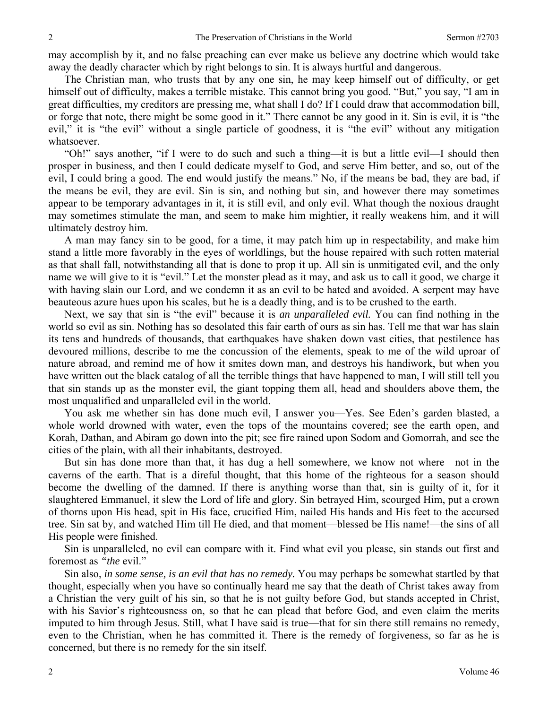may accomplish by it, and no false preaching can ever make us believe any doctrine which would take away the deadly character which by right belongs to sin. It is always hurtful and dangerous.

The Christian man, who trusts that by any one sin, he may keep himself out of difficulty, or get himself out of difficulty, makes a terrible mistake. This cannot bring you good. "But," you say, "I am in great difficulties, my creditors are pressing me, what shall I do? If I could draw that accommodation bill, or forge that note, there might be some good in it." There cannot be any good in it. Sin is evil, it is "the evil," it is "the evil" without a single particle of goodness, it is "the evil" without any mitigation whatsoever.

"Oh!" says another, "if I were to do such and such a thing—it is but a little evil—I should then prosper in business, and then I could dedicate myself to God, and serve Him better, and so, out of the evil, I could bring a good. The end would justify the means." No, if the means be bad, they are bad, if the means be evil, they are evil. Sin is sin, and nothing but sin, and however there may sometimes appear to be temporary advantages in it, it is still evil, and only evil. What though the noxious draught may sometimes stimulate the man, and seem to make him mightier, it really weakens him, and it will ultimately destroy him.

A man may fancy sin to be good, for a time, it may patch him up in respectability, and make him stand a little more favorably in the eyes of worldlings, but the house repaired with such rotten material as that shall fall, notwithstanding all that is done to prop it up. All sin is unmitigated evil, and the only name we will give to it is "evil." Let the monster plead as it may, and ask us to call it good, we charge it with having slain our Lord, and we condemn it as an evil to be hated and avoided. A serpent may have beauteous azure hues upon his scales, but he is a deadly thing, and is to be crushed to the earth.

Next, we say that sin is "the evil" because it is *an unparalleled evil.* You can find nothing in the world so evil as sin. Nothing has so desolated this fair earth of ours as sin has. Tell me that war has slain its tens and hundreds of thousands, that earthquakes have shaken down vast cities, that pestilence has devoured millions, describe to me the concussion of the elements, speak to me of the wild uproar of nature abroad, and remind me of how it smites down man, and destroys his handiwork, but when you have written out the black catalog of all the terrible things that have happened to man, I will still tell you that sin stands up as the monster evil, the giant topping them all, head and shoulders above them, the most unqualified and unparalleled evil in the world.

You ask me whether sin has done much evil, I answer you—Yes. See Eden's garden blasted, a whole world drowned with water, even the tops of the mountains covered; see the earth open, and Korah, Dathan, and Abiram go down into the pit; see fire rained upon Sodom and Gomorrah, and see the cities of the plain, with all their inhabitants, destroyed.

But sin has done more than that, it has dug a hell somewhere, we know not where—not in the caverns of the earth. That is a direful thought, that this home of the righteous for a season should become the dwelling of the damned. If there is anything worse than that, sin is guilty of it, for it slaughtered Emmanuel, it slew the Lord of life and glory. Sin betrayed Him, scourged Him, put a crown of thorns upon His head, spit in His face, crucified Him, nailed His hands and His feet to the accursed tree. Sin sat by, and watched Him till He died, and that moment—blessed be His name!—the sins of all His people were finished.

Sin is unparalleled, no evil can compare with it. Find what evil you please, sin stands out first and foremost as *"the* evil."

Sin also, *in some sense, is an evil that has no remedy.* You may perhaps be somewhat startled by that thought, especially when you have so continually heard me say that the death of Christ takes away from a Christian the very guilt of his sin, so that he is not guilty before God, but stands accepted in Christ, with his Savior's righteousness on, so that he can plead that before God, and even claim the merits imputed to him through Jesus. Still, what I have said is true—that for sin there still remains no remedy, even to the Christian, when he has committed it. There is the remedy of forgiveness, so far as he is concerned, but there is no remedy for the sin itself.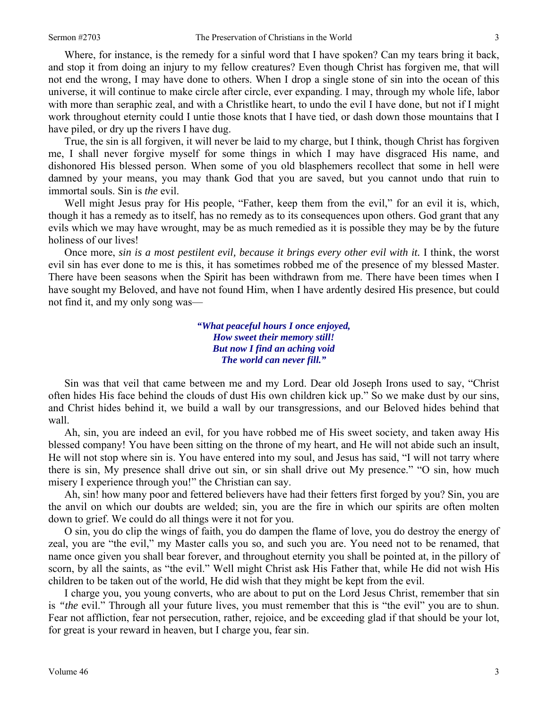Where, for instance, is the remedy for a sinful word that I have spoken? Can my tears bring it back, and stop it from doing an injury to my fellow creatures? Even though Christ has forgiven me, that will not end the wrong, I may have done to others. When I drop a single stone of sin into the ocean of this universe, it will continue to make circle after circle, ever expanding. I may, through my whole life, labor with more than seraphic zeal, and with a Christlike heart, to undo the evil I have done, but not if I might work throughout eternity could I untie those knots that I have tied, or dash down those mountains that I have piled, or dry up the rivers I have dug.

True, the sin is all forgiven, it will never be laid to my charge, but I think, though Christ has forgiven me, I shall never forgive myself for some things in which I may have disgraced His name, and dishonored His blessed person. When some of you old blasphemers recollect that some in hell were damned by your means, you may thank God that you are saved, but you cannot undo that ruin to immortal souls. Sin is *the* evil.

Well might Jesus pray for His people, "Father, keep them from the evil," for an evil it is, which, though it has a remedy as to itself, has no remedy as to its consequences upon others. God grant that any evils which we may have wrought, may be as much remedied as it is possible they may be by the future holiness of our lives!

Once more, *sin is a most pestilent evil, because it brings every other evil with it.* I think, the worst evil sin has ever done to me is this, it has sometimes robbed me of the presence of my blessed Master. There have been seasons when the Spirit has been withdrawn from me. There have been times when I have sought my Beloved, and have not found Him, when I have ardently desired His presence, but could not find it, and my only song was—

> *"What peaceful hours I once enjoyed, How sweet their memory still! But now I find an aching void The world can never fill."*

Sin was that veil that came between me and my Lord. Dear old Joseph Irons used to say, "Christ often hides His face behind the clouds of dust His own children kick up." So we make dust by our sins, and Christ hides behind it, we build a wall by our transgressions, and our Beloved hides behind that wall.

Ah, sin, you are indeed an evil, for you have robbed me of His sweet society, and taken away His blessed company! You have been sitting on the throne of my heart, and He will not abide such an insult, He will not stop where sin is. You have entered into my soul, and Jesus has said, "I will not tarry where there is sin, My presence shall drive out sin, or sin shall drive out My presence." "O sin, how much misery I experience through you!" the Christian can say.

Ah, sin! how many poor and fettered believers have had their fetters first forged by you? Sin, you are the anvil on which our doubts are welded; sin, you are the fire in which our spirits are often molten down to grief. We could do all things were it not for you.

O sin, you do clip the wings of faith, you do dampen the flame of love, you do destroy the energy of zeal, you are "the evil," my Master calls you so, and such you are. You need not to be renamed, that name once given you shall bear forever, and throughout eternity you shall be pointed at, in the pillory of scorn, by all the saints, as "the evil." Well might Christ ask His Father that, while He did not wish His children to be taken out of the world, He did wish that they might be kept from the evil.

I charge you, you young converts, who are about to put on the Lord Jesus Christ, remember that sin is *"the* evil." Through all your future lives, you must remember that this is "the evil" you are to shun. Fear not affliction, fear not persecution, rather, rejoice, and be exceeding glad if that should be your lot, for great is your reward in heaven, but I charge you, fear sin.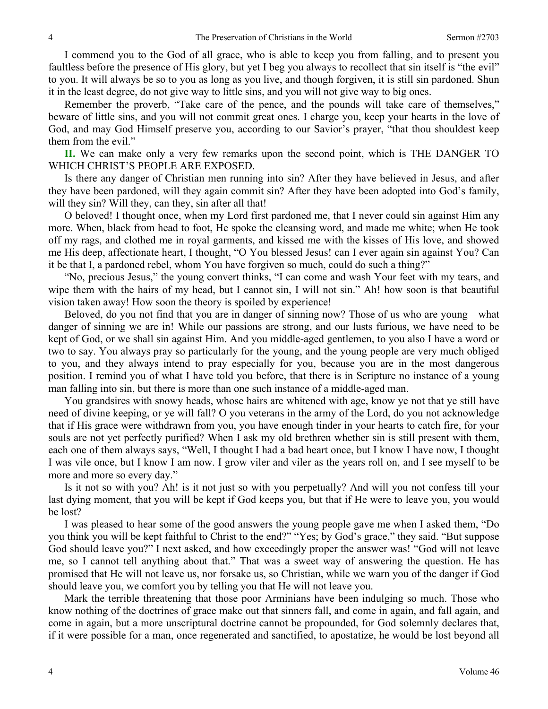I commend you to the God of all grace, who is able to keep you from falling, and to present you faultless before the presence of His glory, but yet I beg you always to recollect that sin itself is "the evil" to you. It will always be so to you as long as you live, and though forgiven, it is still sin pardoned. Shun it in the least degree, do not give way to little sins, and you will not give way to big ones.

Remember the proverb, "Take care of the pence, and the pounds will take care of themselves," beware of little sins, and you will not commit great ones. I charge you, keep your hearts in the love of God, and may God Himself preserve you, according to our Savior's prayer, "that thou shouldest keep them from the evil."

**II.** We can make only a very few remarks upon the second point, which is THE DANGER TO WHICH CHRIST'S PEOPLE ARE EXPOSED.

Is there any danger of Christian men running into sin? After they have believed in Jesus, and after they have been pardoned, will they again commit sin? After they have been adopted into God's family, will they sin? Will they, can they, sin after all that!

O beloved! I thought once, when my Lord first pardoned me, that I never could sin against Him any more. When, black from head to foot, He spoke the cleansing word, and made me white; when He took off my rags, and clothed me in royal garments, and kissed me with the kisses of His love, and showed me His deep, affectionate heart, I thought, "O You blessed Jesus! can I ever again sin against You? Can it be that I, a pardoned rebel, whom You have forgiven so much, could do such a thing?"

"No, precious Jesus," the young convert thinks, "I can come and wash Your feet with my tears, and wipe them with the hairs of my head, but I cannot sin, I will not sin." Ah! how soon is that beautiful vision taken away! How soon the theory is spoiled by experience!

Beloved, do you not find that you are in danger of sinning now? Those of us who are young—what danger of sinning we are in! While our passions are strong, and our lusts furious, we have need to be kept of God, or we shall sin against Him. And you middle-aged gentlemen, to you also I have a word or two to say. You always pray so particularly for the young, and the young people are very much obliged to you, and they always intend to pray especially for you, because you are in the most dangerous position. I remind you of what I have told you before, that there is in Scripture no instance of a young man falling into sin, but there is more than one such instance of a middle-aged man.

You grandsires with snowy heads, whose hairs are whitened with age, know ye not that ye still have need of divine keeping, or ye will fall? O you veterans in the army of the Lord, do you not acknowledge that if His grace were withdrawn from you, you have enough tinder in your hearts to catch fire, for your souls are not yet perfectly purified? When I ask my old brethren whether sin is still present with them, each one of them always says, "Well, I thought I had a bad heart once, but I know I have now, I thought I was vile once, but I know I am now. I grow viler and viler as the years roll on, and I see myself to be more and more so every day."

Is it not so with you? Ah! is it not just so with you perpetually? And will you not confess till your last dying moment, that you will be kept if God keeps you, but that if He were to leave you, you would be lost?

I was pleased to hear some of the good answers the young people gave me when I asked them, "Do you think you will be kept faithful to Christ to the end?" "Yes; by God's grace," they said. "But suppose God should leave you?" I next asked, and how exceedingly proper the answer was! "God will not leave me, so I cannot tell anything about that." That was a sweet way of answering the question. He has promised that He will not leave us, nor forsake us, so Christian, while we warn you of the danger if God should leave you, we comfort you by telling you that He will not leave you.

Mark the terrible threatening that those poor Arminians have been indulging so much. Those who know nothing of the doctrines of grace make out that sinners fall, and come in again, and fall again, and come in again, but a more unscriptural doctrine cannot be propounded, for God solemnly declares that, if it were possible for a man, once regenerated and sanctified, to apostatize, he would be lost beyond all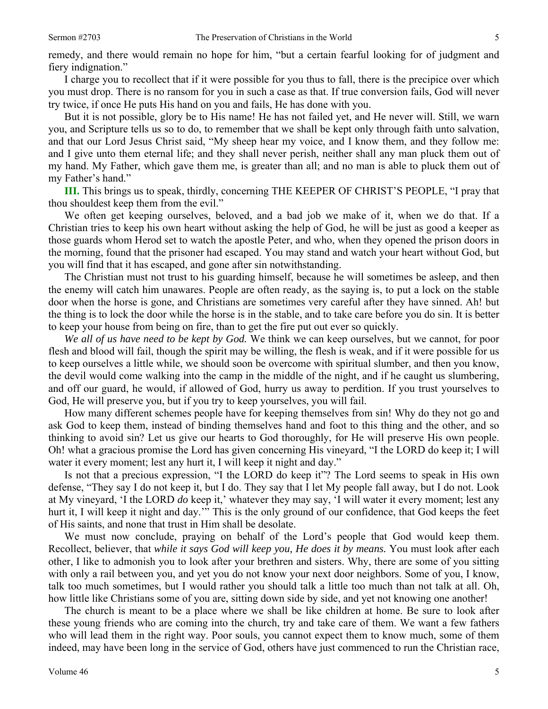remedy, and there would remain no hope for him, "but a certain fearful looking for of judgment and fiery indignation."

I charge you to recollect that if it were possible for you thus to fall, there is the precipice over which you must drop. There is no ransom for you in such a case as that. If true conversion fails, God will never try twice, if once He puts His hand on you and fails, He has done with you.

But it is not possible, glory be to His name! He has not failed yet, and He never will. Still, we warn you, and Scripture tells us so to do, to remember that we shall be kept only through faith unto salvation, and that our Lord Jesus Christ said, "My sheep hear my voice, and I know them, and they follow me: and I give unto them eternal life; and they shall never perish, neither shall any man pluck them out of my hand. My Father, which gave them me, is greater than all; and no man is able to pluck them out of my Father's hand."

**III.** This brings us to speak, thirdly, concerning THE KEEPER OF CHRIST'S PEOPLE, "I pray that thou shouldest keep them from the evil."

We often get keeping ourselves, beloved, and a bad job we make of it, when we do that. If a Christian tries to keep his own heart without asking the help of God, he will be just as good a keeper as those guards whom Herod set to watch the apostle Peter, and who, when they opened the prison doors in the morning, found that the prisoner had escaped. You may stand and watch your heart without God, but you will find that it has escaped, and gone after sin notwithstanding.

The Christian must not trust to his guarding himself, because he will sometimes be asleep, and then the enemy will catch him unawares. People are often ready, as the saying is, to put a lock on the stable door when the horse is gone, and Christians are sometimes very careful after they have sinned. Ah! but the thing is to lock the door while the horse is in the stable, and to take care before you do sin. It is better to keep your house from being on fire, than to get the fire put out ever so quickly.

*We all of us have need to be kept by God.* We think we can keep ourselves, but we cannot, for poor flesh and blood will fail, though the spirit may be willing, the flesh is weak, and if it were possible for us to keep ourselves a little while, we should soon be overcome with spiritual slumber, and then you know, the devil would come walking into the camp in the middle of the night, and if he caught us slumbering, and off our guard, he would, if allowed of God, hurry us away to perdition. If you trust yourselves to God, He will preserve you, but if you try to keep yourselves, you will fail.

How many different schemes people have for keeping themselves from sin! Why do they not go and ask God to keep them, instead of binding themselves hand and foot to this thing and the other, and so thinking to avoid sin? Let us give our hearts to God thoroughly, for He will preserve His own people. Oh! what a gracious promise the Lord has given concerning His vineyard, "I the LORD do keep it; I will water it every moment; lest any hurt it, I will keep it night and day."

Is not that a precious expression, "I the LORD do keep it"? The Lord seems to speak in His own defense, "They say I do not keep it, but I do. They say that I let My people fall away, but I do not. Look at My vineyard, 'I the LORD *do* keep it,' whatever they may say, 'I will water it every moment; lest any hurt it, I will keep it night and day.'" This is the only ground of our confidence, that God keeps the feet of His saints, and none that trust in Him shall be desolate.

We must now conclude, praying on behalf of the Lord's people that God would keep them. Recollect, believer, that *while it says God will keep you, He does it by means.* You must look after each other, I like to admonish you to look after your brethren and sisters. Why, there are some of you sitting with only a rail between you, and yet you do not know your next door neighbors. Some of you, I know, talk too much sometimes, but I would rather you should talk a little too much than not talk at all. Oh, how little like Christians some of you are, sitting down side by side, and yet not knowing one another!

The church is meant to be a place where we shall be like children at home. Be sure to look after these young friends who are coming into the church, try and take care of them. We want a few fathers who will lead them in the right way. Poor souls, you cannot expect them to know much, some of them indeed, may have been long in the service of God, others have just commenced to run the Christian race,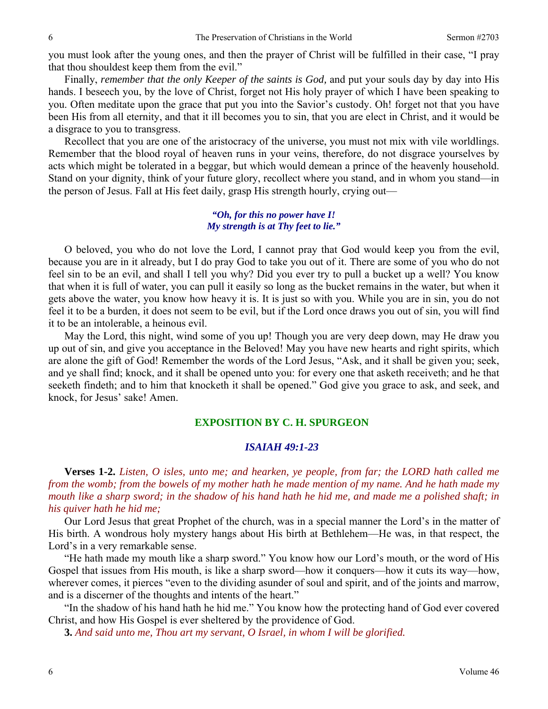you must look after the young ones, and then the prayer of Christ will be fulfilled in their case, "I pray that thou shouldest keep them from the evil."

Finally, *remember that the only Keeper of the saints is God,* and put your souls day by day into His hands. I beseech you, by the love of Christ, forget not His holy prayer of which I have been speaking to you. Often meditate upon the grace that put you into the Savior's custody. Oh! forget not that you have been His from all eternity, and that it ill becomes you to sin, that you are elect in Christ, and it would be a disgrace to you to transgress.

Recollect that you are one of the aristocracy of the universe, you must not mix with vile worldlings. Remember that the blood royal of heaven runs in your veins, therefore, do not disgrace yourselves by acts which might be tolerated in a beggar, but which would demean a prince of the heavenly household. Stand on your dignity, think of your future glory, recollect where you stand, and in whom you stand—in the person of Jesus. Fall at His feet daily, grasp His strength hourly, crying out—

## *"Oh, for this no power have I! My strength is at Thy feet to lie."*

O beloved, you who do not love the Lord, I cannot pray that God would keep you from the evil, because you are in it already, but I do pray God to take you out of it. There are some of you who do not feel sin to be an evil, and shall I tell you why? Did you ever try to pull a bucket up a well? You know that when it is full of water, you can pull it easily so long as the bucket remains in the water, but when it gets above the water, you know how heavy it is. It is just so with you. While you are in sin, you do not feel it to be a burden, it does not seem to be evil, but if the Lord once draws you out of sin, you will find it to be an intolerable, a heinous evil.

May the Lord, this night, wind some of you up! Though you are very deep down, may He draw you up out of sin, and give you acceptance in the Beloved! May you have new hearts and right spirits, which are alone the gift of God! Remember the words of the Lord Jesus, "Ask, and it shall be given you; seek, and ye shall find; knock, and it shall be opened unto you: for every one that asketh receiveth; and he that seeketh findeth; and to him that knocketh it shall be opened." God give you grace to ask, and seek, and knock, for Jesus' sake! Amen.

#### **EXPOSITION BY C. H. SPURGEON**

#### *ISAIAH 49:1-23*

**Verses 1-2.** *Listen, O isles, unto me; and hearken, ye people, from far; the LORD hath called me from the womb; from the bowels of my mother hath he made mention of my name. And he hath made my mouth like a sharp sword; in the shadow of his hand hath he hid me, and made me a polished shaft; in his quiver hath he hid me;* 

Our Lord Jesus that great Prophet of the church, was in a special manner the Lord's in the matter of His birth. A wondrous holy mystery hangs about His birth at Bethlehem—He was, in that respect, the Lord's in a very remarkable sense.

"He hath made my mouth like a sharp sword." You know how our Lord's mouth, or the word of His Gospel that issues from His mouth, is like a sharp sword—how it conquers—how it cuts its way—how, wherever comes, it pierces "even to the dividing asunder of soul and spirit, and of the joints and marrow, and is a discerner of the thoughts and intents of the heart."

"In the shadow of his hand hath he hid me." You know how the protecting hand of God ever covered Christ, and how His Gospel is ever sheltered by the providence of God.

**3.** *And said unto me, Thou art my servant, O Israel, in whom I will be glorified.*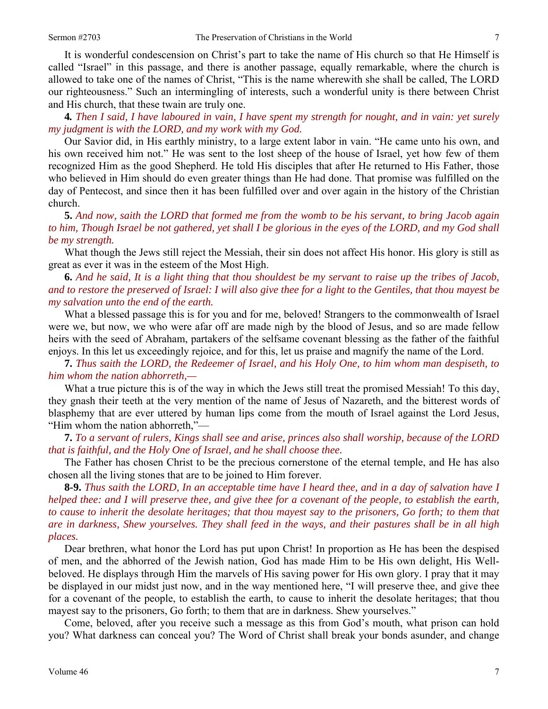It is wonderful condescension on Christ's part to take the name of His church so that He Himself is called "Israel" in this passage, and there is another passage, equally remarkable, where the church is allowed to take one of the names of Christ, "This is the name wherewith she shall be called, The LORD our righteousness." Such an intermingling of interests, such a wonderful unity is there between Christ and His church, that these twain are truly one.

**4***. Then I said, I have laboured in vain, I have spent my strength for nought, and in vain: yet surely my judgment is with the LORD, and my work with my God.* 

Our Savior did, in His earthly ministry, to a large extent labor in vain. "He came unto his own, and his own received him not." He was sent to the lost sheep of the house of Israel, yet how few of them recognized Him as the good Shepherd. He told His disciples that after He returned to His Father, those who believed in Him should do even greater things than He had done. That promise was fulfilled on the day of Pentecost, and since then it has been fulfilled over and over again in the history of the Christian church.

**5.** *And now, saith the LORD that formed me from the womb to be his servant, to bring Jacob again to him, Though Israel be not gathered, yet shall I be glorious in the eyes of the LORD, and my God shall be my strength.* 

What though the Jews still reject the Messiah, their sin does not affect His honor. His glory is still as great as ever it was in the esteem of the Most High.

**6.** *And he said, It is a light thing that thou shouldest be my servant to raise up the tribes of Jacob, and to restore the preserved of Israel: I will also give thee for a light to the Gentiles, that thou mayest be my salvation unto the end of the earth.* 

What a blessed passage this is for you and for me, beloved! Strangers to the commonwealth of Israel were we, but now, we who were afar off are made nigh by the blood of Jesus, and so are made fellow heirs with the seed of Abraham, partakers of the selfsame covenant blessing as the father of the faithful enjoys. In this let us exceedingly rejoice, and for this, let us praise and magnify the name of the Lord.

**7.** *Thus saith the LORD, the Redeemer of Israel, and his Holy One, to him whom man despiseth, to him whom the nation abhorreth,—* 

What a true picture this is of the way in which the Jews still treat the promised Messiah! To this day, they gnash their teeth at the very mention of the name of Jesus of Nazareth, and the bitterest words of blasphemy that are ever uttered by human lips come from the mouth of Israel against the Lord Jesus, "Him whom the nation abhorreth,"—

**7.** *To a servant of rulers, Kings shall see and arise, princes also shall worship, because of the LORD that is faithful, and the Holy One of Israel, and he shall choose thee.* 

The Father has chosen Christ to be the precious cornerstone of the eternal temple, and He has also chosen all the living stones that are to be joined to Him forever.

**8-9.** *Thus saith the LORD, In an acceptable time have I heard thee, and in a day of salvation have I helped thee: and I will preserve thee, and give thee for a covenant of the people, to establish the earth, to cause to inherit the desolate heritages; that thou mayest say to the prisoners, Go forth; to them that are in darkness, Shew yourselves. They shall feed in the ways, and their pastures shall be in all high places.* 

Dear brethren, what honor the Lord has put upon Christ! In proportion as He has been the despised of men, and the abhorred of the Jewish nation, God has made Him to be His own delight, His Wellbeloved. He displays through Him the marvels of His saving power for His own glory. I pray that it may be displayed in our midst just now, and in the way mentioned here, "I will preserve thee, and give thee for a covenant of the people, to establish the earth, to cause to inherit the desolate heritages; that thou mayest say to the prisoners, Go forth; to them that are in darkness. Shew yourselves."

Come, beloved, after you receive such a message as this from God's mouth, what prison can hold you? What darkness can conceal you? The Word of Christ shall break your bonds asunder, and change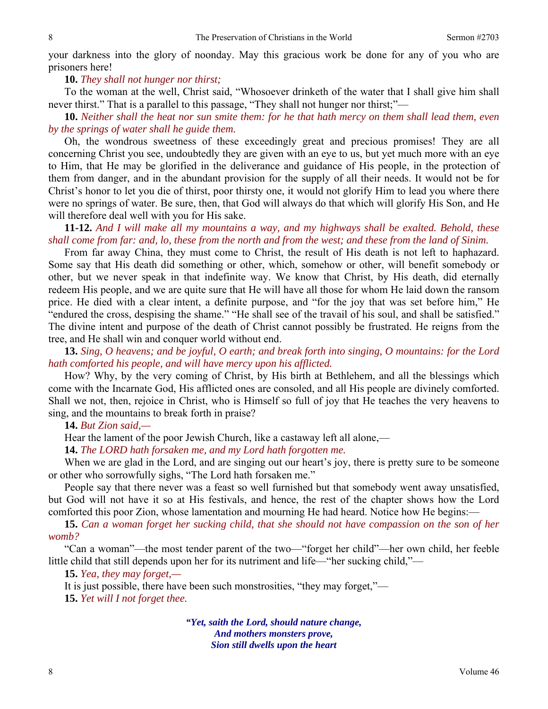your darkness into the glory of noonday. May this gracious work be done for any of you who are prisoners here!

#### **10.** *They shall not hunger nor thirst;*

To the woman at the well, Christ said, "Whosoever drinketh of the water that I shall give him shall never thirst." That is a parallel to this passage, "They shall not hunger nor thirst;"—

**10.** *Neither shall the heat nor sun smite them: for he that hath mercy on them shall lead them, even by the springs of water shall he guide them.* 

Oh, the wondrous sweetness of these exceedingly great and precious promises! They are all concerning Christ you see, undoubtedly they are given with an eye to us, but yet much more with an eye to Him, that He may be glorified in the deliverance and guidance of His people, in the protection of them from danger, and in the abundant provision for the supply of all their needs. It would not be for Christ's honor to let you die of thirst, poor thirsty one, it would not glorify Him to lead you where there were no springs of water. Be sure, then, that God will always do that which will glorify His Son, and He will therefore deal well with you for His sake.

**11-12.** *And I will make all my mountains a way, and my highways shall be exalted. Behold, these shall come from far: and, lo, these from the north and from the west; and these from the land of Sinim.* 

From far away China, they must come to Christ, the result of His death is not left to haphazard. Some say that His death did something or other, which, somehow or other, will benefit somebody or other, but we never speak in that indefinite way. We know that Christ, by His death, did eternally redeem His people, and we are quite sure that He will have all those for whom He laid down the ransom price. He died with a clear intent, a definite purpose, and "for the joy that was set before him," He "endured the cross, despising the shame." "He shall see of the travail of his soul, and shall be satisfied." The divine intent and purpose of the death of Christ cannot possibly be frustrated. He reigns from the tree, and He shall win and conquer world without end.

**13.** *Sing, O heavens; and be joyful, O earth; and break forth into singing, O mountains: for the Lord hath comforted his people, and will have mercy upon his afflicted.* 

How? Why, by the very coming of Christ, by His birth at Bethlehem, and all the blessings which come with the Incarnate God, His afflicted ones are consoled, and all His people are divinely comforted. Shall we not, then, rejoice in Christ, who is Himself so full of joy that He teaches the very heavens to sing, and the mountains to break forth in praise?

## **14.** *But Zion said,—*

Hear the lament of the poor Jewish Church, like a castaway left all alone,—

**14.** *The LORD hath forsaken me, and my Lord hath forgotten me.* 

When we are glad in the Lord, and are singing out our heart's joy, there is pretty sure to be someone or other who sorrowfully sighs, "The Lord hath forsaken me."

People say that there never was a feast so well furnished but that somebody went away unsatisfied, but God will not have it so at His festivals, and hence, the rest of the chapter shows how the Lord comforted this poor Zion, whose lamentation and mourning He had heard. Notice how He begins:-

**15.** *Can a woman forget her sucking child, that she should not have compassion on the son of her womb?* 

"Can a woman"—the most tender parent of the two—"forget her child"—her own child, her feeble little child that still depends upon her for its nutriment and life—"her sucking child,"—

#### **15.** *Yea, they may forget,—*

It is just possible, there have been such monstrosities, "they may forget,"— **15.** *Yet will I not forget thee.* 

> *"Yet, saith the Lord, should nature change, And mothers monsters prove, Sion still dwells upon the heart*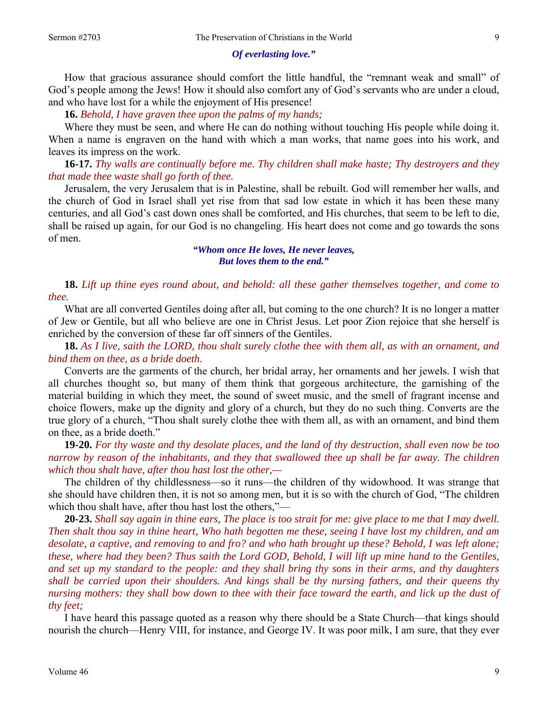#### *Of everlasting love."*

How that gracious assurance should comfort the little handful, the "remnant weak and small" of God's people among the Jews! How it should also comfort any of God's servants who are under a cloud, and who have lost for a while the enjoyment of His presence!

**16.** *Behold, I have graven thee upon the palms of my hands;* 

Where they must be seen, and where He can do nothing without touching His people while doing it. When a name is engraven on the hand with which a man works, that name goes into his work, and leaves its impress on the work.

**16-17.** *Thy walls are continually before me. Thy children shall make haste; Thy destroyers and they that made thee waste shall go forth of thee.* 

Jerusalem, the very Jerusalem that is in Palestine, shall be rebuilt. God will remember her walls, and the church of God in Israel shall yet rise from that sad low estate in which it has been these many centuries, and all God's cast down ones shall be comforted, and His churches, that seem to be left to die, shall be raised up again, for our God is no changeling. His heart does not come and go towards the sons of men.

> *"Whom once He loves, He never leaves, But loves them to the end."*

**18.** *Lift up thine eyes round about, and behold: all these gather themselves together, and come to thee.* 

What are all converted Gentiles doing after all, but coming to the one church? It is no longer a matter of Jew or Gentile, but all who believe are one in Christ Jesus. Let poor Zion rejoice that she herself is enriched by the conversion of these far off sinners of the Gentiles.

**18.** *As I live, saith the LORD, thou shalt surely clothe thee with them all, as with an ornament, and bind them on thee, as a bride doeth.* 

Converts are the garments of the church, her bridal array, her ornaments and her jewels. I wish that all churches thought so, but many of them think that gorgeous architecture, the garnishing of the material building in which they meet, the sound of sweet music, and the smell of fragrant incense and choice flowers, make up the dignity and glory of a church, but they do no such thing. Converts are the true glory of a church, "Thou shalt surely clothe thee with them all, as with an ornament, and bind them on thee, as a bride doeth."

**19-20.** *For thy waste and thy desolate places, and the land of thy destruction, shall even now be too narrow by reason of the inhabitants, and they that swallowed thee up shall be far away. The children which thou shalt have, after thou hast lost the other,—* 

The children of thy childlessness—so it runs—the children of thy widowhood. It was strange that she should have children then, it is not so among men, but it is so with the church of God, "The children which thou shalt have, after thou hast lost the others,"—

**20-23.** *Shall say again in thine ears, The place is too strait for me: give place to me that I may dwell. Then shalt thou say in thine heart, Who hath begotten me these, seeing I have lost my children, and am desolate, a captive, and removing to and fro? and who hath brought up these? Behold, I was left alone; these, where had they been? Thus saith the Lord GOD, Behold, I will lift up mine hand to the Gentiles, and set up my standard to the people: and they shall bring thy sons in their arms, and thy daughters shall be carried upon their shoulders. And kings shall be thy nursing fathers, and their queens thy nursing mothers: they shall bow down to thee with their face toward the earth, and lick up the dust of thy feet;* 

I have heard this passage quoted as a reason why there should be a State Church—that kings should nourish the church—Henry VIII, for instance, and George IV. It was poor milk, I am sure, that they ever